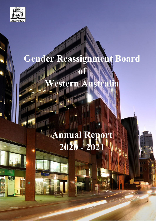

 $\blacksquare$ 

CΥ

 $\Theta$ 

## **Gender Reassignment Board**

# **Western Australia**

**of**

# **Annual Report 2020 - 2021**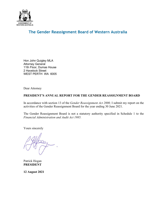

### **The Gender Reassignment Board of Western Australia**

Hon John Quigley MLA Attorney General 11th Floor, Dumas House 2 Havelock Street WEST PERTH WA 6005

Dear Attorney

#### <span id="page-1-0"></span>**PRESIDENT'S ANNUAL REPORT FOR THE GENDER REASSIGNMENT BOARD**

In accordance with section 13 of the *Gender Reassignment Act 2000,* I submit my report on the activities of the Gender Reassignment Board for the year ending 30 June 2021.

The Gender Reassignment Board is not a statutory authority specified in Schedule 1 to the *Financial Administration and Audit Act 1985.*

Yours sincerely

Patrick Hogan **PRESIDENT**

**12 August 2021**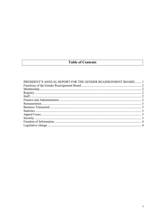### **Table of Contents**

| PRESIDENT'S ANNUAL REPORT FOR THE GENDER REASSIGNMENT BOARD 1 |  |
|---------------------------------------------------------------|--|
|                                                               |  |
|                                                               |  |
|                                                               |  |
|                                                               |  |
|                                                               |  |
|                                                               |  |
|                                                               |  |
|                                                               |  |
|                                                               |  |
|                                                               |  |
|                                                               |  |
|                                                               |  |
|                                                               |  |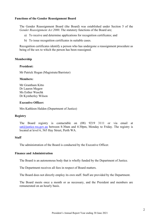#### <span id="page-3-0"></span>**Functions of the Gender Reassignment Board**

The Gender Reassignment Board (the Board) was established under Section 5 of the *Gender Reassignment Act 2000*. The statutory functions of the Board are;

- a) To receive and determine applications for recognition certificates; and
- b) To issue recognition certificates in suitable cases.

Recognition certificates identify a person who has undergone a reassignment procedure as being of the sex to which the person has been reassigned.

#### <span id="page-3-1"></span>**Membership**

#### **President:**

Mr Patrick Hogan (Magistrate/Barrister)

#### **Members:**

Mr Grantham Kitto Dr Lauren Megaw Ms Esther Waschk Dr Kymberley Wilson

#### **Executive Officer:**

Mrs Kathleen Halden (Department of Justice)

#### <span id="page-3-2"></span>**Registry**

The Board registry is contactable on (08) 9219 3111 or via email at [sat@justice.wa.gov.au](mailto:sat@justice.wa.gov.au) between 8:30am and 4:30pm, Monday to Friday. The registry is located at level 6, 565 Hay Street, Perth WA.

#### <span id="page-3-3"></span>**Staff**

The administration of the Board is conducted by the Executive Officer.

#### <span id="page-3-4"></span>**Finance and Administration**

The Board is an autonomous body that is wholly funded by the Department of Justice.

The Department receives all fees in respect of Board matters.

The Board does not directly employ its own staff. Staff are provided by the Department.

The Board meets once a month or as necessary, and the President and members are remunerated on an hourly basis.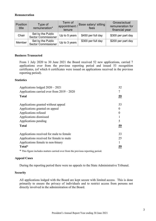#### <span id="page-4-0"></span>**Remuneration**

| <b>Position</b><br>title | Type of<br>remuneration*                        | Term of<br>appointment /<br>tenure | Base salary/ sitting<br>fees | Gross/actual<br>remuneration for<br>financial year |
|--------------------------|-------------------------------------------------|------------------------------------|------------------------------|----------------------------------------------------|
| Chair                    | Set by the Public<br><b>Sector Commissioner</b> | Up to 5 years                      | \$450 per full day           | \$300 per part day                                 |
| Member                   | Set by the Public<br><b>Sector Commissioner</b> | Up to 3 years                      | \$300 per full day           | \$200 per part day                                 |

#### <span id="page-4-1"></span>**Business Transacted**

From 1 July 2020 to 30 June 2021 the Board received 52 new applications, carried 7 applications over from the previous reporting period and issued 53 recognition certificates, (of which 6 certificates were issued on applications received in the previous reporting period).

#### <span id="page-4-2"></span>**Statistics**

| Applications lodged $2020 - 2021$            | 52        |
|----------------------------------------------|-----------|
| Applications carried over from $2019 - 2020$ |           |
| <b>Total</b>                                 | <u>59</u> |
| Applications granted without appeal          | 53        |
| Applications granted on appeal               |           |
| Applications refused                         | 0         |
| Applications dismissed                       |           |
| Applications pending                         | 5         |
| <b>Total</b>                                 | <u>59</u> |
| Applications received for male to female     | 33        |
| Applications received for female to male     | 25        |
| Applications female to non-binary            |           |
| Total*                                       | 59        |

\* This figure includes matters carried over from the previous reporting period.

#### <span id="page-4-3"></span>**Appeal Cases**

During the reporting period there were no appeals to the State Administrative Tribunal.

#### <span id="page-4-4"></span>**Security**

All applications lodged with the Board are kept secure with limited access. This is done primarily to ensure the privacy of individuals and to restrict access from persons not directly involved in the administration of the Board.